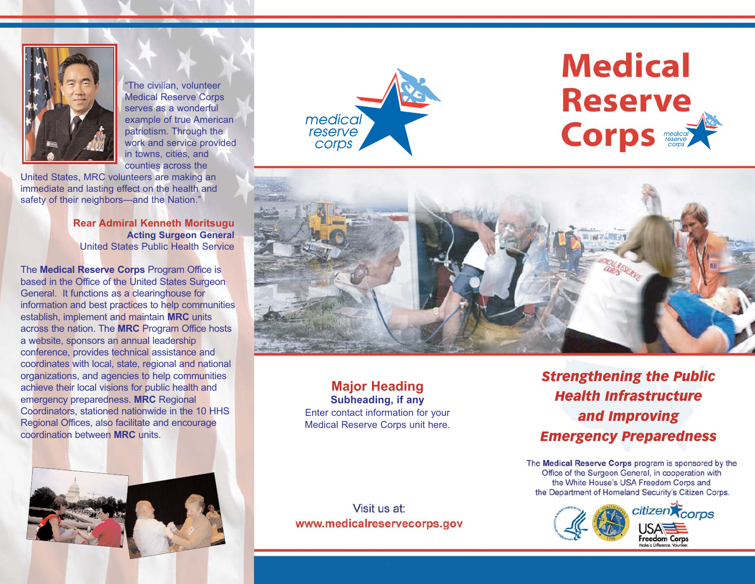

"The civilian, volunteer Medical Reserve Corps serves as a wonderful example of true American patriotism. Through the work and service provided in towns, cities, and counties across the

United States, MRC volunteers are making an immediate and lasting effect on the health and safety of their neighbors—and the Nation."

> **Rear Admiral Kenneth Moritsugu Acting Surgeon General** United States Public Health Service

The **Medical Reserve Corps** Program Office is based in the Office of the United States Surgeon General. It functions as a clearinghouse for information and best practices to help communities establish, implement and maintain **MRC** units across the nation. The **MRC** Program Office hosts a website, sponsors an annual leadership conference, provides technical assistance and coordinates with local, state, regional and national organizations, and agencies to help communities achieve their local visions for public health and emergency preparedness. **MRC** Regional Coordinators, stationed nationwide in the 10 HHS Regional Offices, also facilitate and encourage coordination between **MRC** units.





# **Medical Reserve Corps** redical



**Major Heading Subheading, if any** Enter contact information for your Medical Reserve Corps unit here.

*Strengthening the Public Health Infrastructure and Improving Emergency Preparedness*

The Medical Reserve Corps program is sponsored by the Office of the Surgeon General, in cooperation with the White House's USA Freedom Corps and the Department of Homeland Security's Citizen Corps.



Visit us at: www.medicalreservecorps.gov